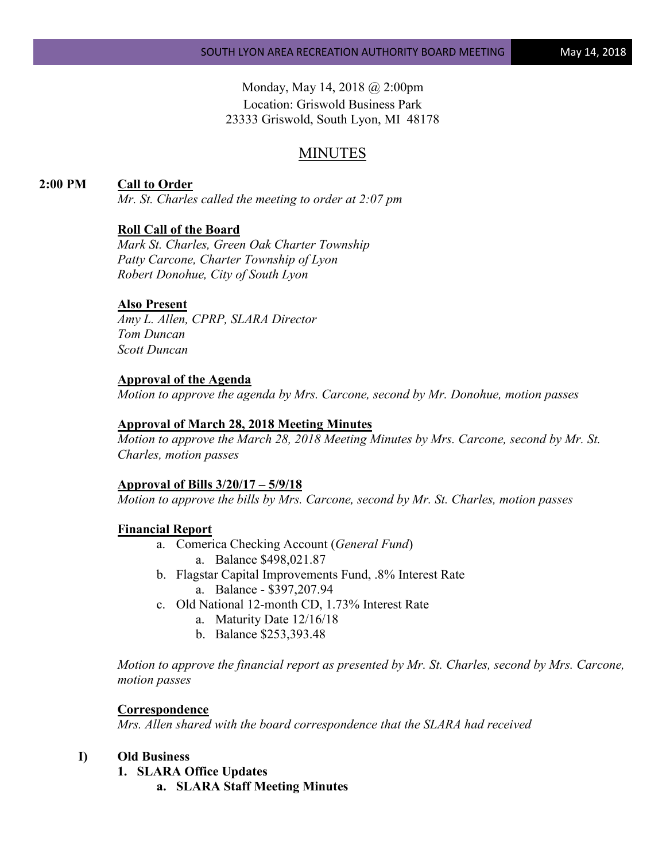Monday, May 14, 2018 @ 2:00pm Location: Griswold Business Park 23333 Griswold, South Lyon, MI 48178

# MINUTES

### **2:00 PM Call to Order**

*Mr. St. Charles called the meeting to order at 2:07 pm*

### **Roll Call of the Board**

*Mark St. Charles, Green Oak Charter Township Patty Carcone, Charter Township of Lyon Robert Donohue, City of South Lyon*

### **Also Present**

*Amy L. Allen, CPRP, SLARA Director Tom Duncan Scott Duncan*

#### **Approval of the Agenda**

*Motion to approve the agenda by Mrs. Carcone, second by Mr. Donohue, motion passes*

#### **Approval of March 28, 2018 Meeting Minutes**

*Motion to approve the March 28, 2018 Meeting Minutes by Mrs. Carcone, second by Mr. St. Charles, motion passes*

#### **Approval of Bills 3/20/17 – 5/9/18**

*Motion to approve the bills by Mrs. Carcone, second by Mr. St. Charles, motion passes*

#### **Financial Report**

- a. Comerica Checking Account (*General Fund*) a. Balance \$498,021.87
- b. Flagstar Capital Improvements Fund, .8% Interest Rate a. Balance - \$397,207.94
- c. Old National 12-month CD, 1.73% Interest Rate
	- a. Maturity Date 12/16/18
	- b. Balance \$253,393.48

*Motion to approve the financial report as presented by Mr. St. Charles, second by Mrs. Carcone, motion passes*

#### **Correspondence**

*Mrs. Allen shared with the board correspondence that the SLARA had received*

# **I) Old Business**

- **1. SLARA Office Updates**
	- **a. SLARA Staff Meeting Minutes**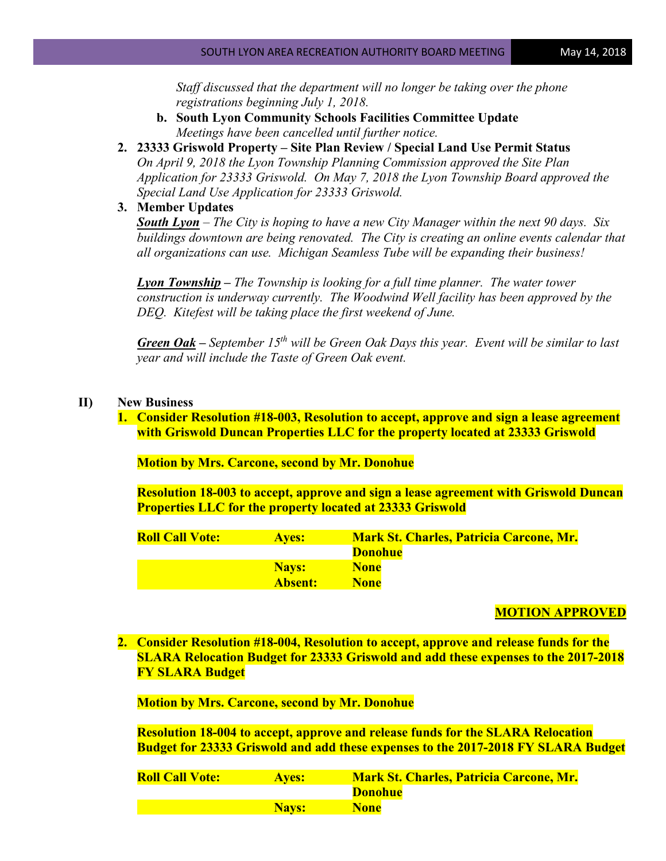*Staff discussed that the department will no longer be taking over the phone registrations beginning July 1, 2018.*

- **b. South Lyon Community Schools Facilities Committee Update** *Meetings have been cancelled until further notice.*
- **2. 23333 Griswold Property – Site Plan Review / Special Land Use Permit Status** *On April 9, 2018 the Lyon Township Planning Commission approved the Site Plan Application for 23333 Griswold. On May 7, 2018 the Lyon Township Board approved the Special Land Use Application for 23333 Griswold.*
- **3. Member Updates**

*South Lyon – The City is hoping to have a new City Manager within the next 90 days. Six buildings downtown are being renovated. The City is creating an online events calendar that all organizations can use. Michigan Seamless Tube will be expanding their business!*

*Lyon Township – The Township is looking for a full time planner. The water tower construction is underway currently. The Woodwind Well facility has been approved by the DEQ. Kitefest will be taking place the first weekend of June.*

*Green Oak – September 15th will be Green Oak Days this year. Event will be similar to last year and will include the Taste of Green Oak event.* 

## **II) New Business**

**1. Consider Resolution #18-003, Resolution to accept, approve and sign a lease agreement with Griswold Duncan Properties LLC for the property located at 23333 Griswold** 

**Motion by Mrs. Carcone, second by Mr. Donohue**

**Resolution 18-003 to accept, approve and sign a lease agreement with Griswold Duncan Properties LLC for the property located at 23333 Griswold**

| <b>Roll Call Vote:</b> | <b>Aves:</b>   | <b>Mark St. Charles, Patricia Carcone, Mr.</b> |
|------------------------|----------------|------------------------------------------------|
|                        |                | <b>Donohue</b>                                 |
|                        | <b>Navs:</b>   | <b>None</b>                                    |
|                        | <b>Absent:</b> | <b>None</b>                                    |

### **MOTION APPROVED**

**2. Consider Resolution #18-004, Resolution to accept, approve and release funds for the SLARA Relocation Budget for 23333 Griswold and add these expenses to the 2017-2018 FY SLARA Budget**

**Motion by Mrs. Carcone, second by Mr. Donohue**

**Resolution 18-004 to accept, approve and release funds for the SLARA Relocation Budget for 23333 Griswold and add these expenses to the 2017-2018 FY SLARA Budget**

| <b>Roll Call Vote:</b> | <b>Aves:</b> | <b>Mark St. Charles, Patricia Carcone, Mr.</b> |
|------------------------|--------------|------------------------------------------------|
|                        |              | <b>Donohue</b>                                 |
|                        | <b>Nays:</b> | <b>None</b>                                    |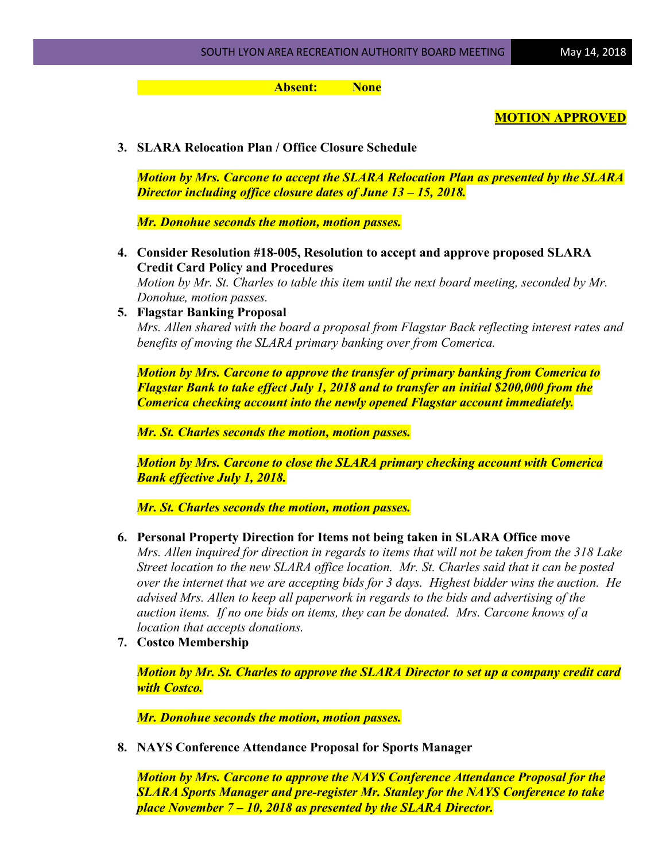**Absent: None**

# **MOTION APPROVED**

**3. SLARA Relocation Plan / Office Closure Schedule**

*Motion by Mrs. Carcone to accept the SLARA Relocation Plan as presented by the SLARA Director including office closure dates of June 13 – 15, 2018.*

*Mr. Donohue seconds the motion, motion passes.*

**4. Consider Resolution #18-005, Resolution to accept and approve proposed SLARA Credit Card Policy and Procedures**

*Motion by Mr. St. Charles to table this item until the next board meeting, seconded by Mr. Donohue, motion passes.*

**5. Flagstar Banking Proposal**

*Mrs. Allen shared with the board a proposal from Flagstar Back reflecting interest rates and benefits of moving the SLARA primary banking over from Comerica.* 

*Motion by Mrs. Carcone to approve the transfer of primary banking from Comerica to Flagstar Bank to take effect July 1, 2018 and to transfer an initial \$200,000 from the Comerica checking account into the newly opened Flagstar account immediately.* 

*Mr. St. Charles seconds the motion, motion passes.*

*Motion by Mrs. Carcone to close the SLARA primary checking account with Comerica Bank effective July 1, 2018.*

*Mr. St. Charles seconds the motion, motion passes.*

### **6. Personal Property Direction for Items not being taken in SLARA Office move**

*Mrs. Allen inquired for direction in regards to items that will not be taken from the 318 Lake Street location to the new SLARA office location. Mr. St. Charles said that it can be posted over the internet that we are accepting bids for 3 days. Highest bidder wins the auction. He advised Mrs. Allen to keep all paperwork in regards to the bids and advertising of the auction items. If no one bids on items, they can be donated. Mrs. Carcone knows of a location that accepts donations.*

**7. Costco Membership**

*Motion by Mr. St. Charles to approve the SLARA Director to set up a company credit card with Costco.*

*Mr. Donohue seconds the motion, motion passes.*

**8. NAYS Conference Attendance Proposal for Sports Manager**

*Motion by Mrs. Carcone to approve the NAYS Conference Attendance Proposal for the SLARA Sports Manager and pre-register Mr. Stanley for the NAYS Conference to take place November 7 – 10, 2018 as presented by the SLARA Director.*